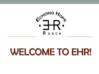

# WELCOME TO EHR!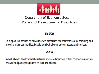

#### Department of Economic Security Division of Developmental Disabilities

#### **MISSION**

To support the choices of individuals with disabilities and their families by promoting and providing within communities, flexible, quality, individual-driven supports and services.

#### **VISION**

Individuals with developmental disabilities are valued members of their communities and are involved and participating based on their own choices.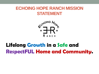#### **ECHOING HOPE RANCH MISSION STATEMENT**



## Lifelong Growth in a Safe and RespectFUL Home and Community.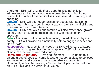**Lifelong** – EHR will provide these opportunities not only for adolescents and young adults who access the ranch but for our residents throughout their entire lives. We never stop learning and changing.

**Growth** – EHR will offer opportunities for people with autism to discover new things, to continuously expand their range of skills and to experiment with new interests.

**Growth** – EHR employees and families will also experience growth as they learn through interaction and life with people on the spectrum

**Safe** – No growth will occur without safety. In addition to physical safety, EHR will provide an emotionally safe to engage rancher and staff growth.

**RespectFUL** – Respect for all people at EHR will ensure a happy, productive working and learning atmosphere. EHR will thrive on a climate of acceptance and individuality.

**Home and Community** – First and foremost, EHR is home to a unique group of people. Home is a safe, harbor, a place to be loved and have fun, and a place to be comfortable and accepted. Community is built by creating a "home" for all people that set foot on EHR. This idea is premier in all we do.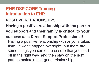#### **POSITIVE RELATIONSHIPS**

**Having a positive relationship with the person you support and their family is critical to your success as a Direct Support Professional!** Having a positive relationship with anyone takes time. It won't happen overnight, but there are some things you can do to ensure that you start off in the right way, and then stay on the right path to maintain that good relationship.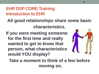**All good relationships share some basic characteristics.**

**If you were meeting someone for the first time and really wanted to get to know that person, what characteristics would YOU display?** 



**Take a moment to think of a few before moving on.**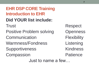**EHR DSP CORE Training Introduction to EHR Did YOUR list include:** Trust Respect Positive Problem solving Openness Communication Flexibility Warmness/Fondness Listening Supportiveness Kindness Compassion Patience

Just to name a few…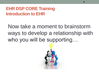Now take a moment to brainstorm ways to develop a relationship with who you will be supporting...

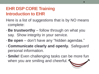- Here is a list of suggestions that is by NO means complete:
- **Be trustworthy** follow through on what you say. Show integrity in your service.
- **Be open** don't have any "hidden agendas."
- **Communicate clearly and openly.** Safeguard personal information.
- **Smile!** Even challenging tasks can be more fun when you are smiling and cheerful.  $\blacktriangleleft$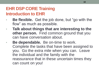- **Be flexible.** Get the job done, but "go with the flow" as much as possible.
- **Talk about things that are interesting to the other person.** Find common ground that you can have conversation about.
- **Be dependable.** Be on-time to work. Complete the tasks that have been assigned to you. Go the extra mile when you can. Leave the individual and the family with the reassurance that in these uncertain times they can count on you!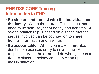- **Be sincere and honest with the individual and the family.** When there are difficult things that need to be said, say them gently and honestly. A strong relationship is based on a sense that the parties involved can be counted on to share truthful information and feelings.
- **Be accountable.** When you make a mistake, don't make excuses or try to cover it up. Accept responsibility for the error and do what you can to fix it. A sincere apology can help clean up a messy situation.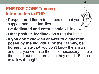- **Respect and listen** to the person that you support and their families.
- **Be dedicated and enthusiastic** while at work.
- **Offer positive feedback** on a regular basis.
- **If you don't know an answer to a question posed by the individual or their family, be honest.** State that you don't know the answer and that you will take the steps necessary to help them find out the information they need. Be sure to follow through!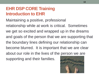Maintaining a positive, professional relationship while at work is critical. Sometimes we get so excited and wrapped up in the dreams and goals of the person that we are supporting that the boundary lines defining our relationship can become blurred. It is important that we are clear about our role in the lives of the person we are supporting and their families.

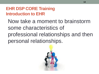Now take a moment to brainstorm some characteristics of professional relationships and then personal relationships.

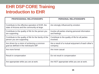| <b>PROFESSIONAL RELATIONSHIPS</b>                                                                 | <b>PERSONAL RELATIONSHIPS</b>                                     |
|---------------------------------------------------------------------------------------------------|-------------------------------------------------------------------|
| Contribute to the effective operation of EHR, the<br>state of Arizona and the community at large. | Are strongly influenced by emotion                                |
| Contribute to the quality of life for the person you<br>are supporting.                           | Involve all parties sharing personal information<br>and feelings. |
| Contribute to the quality of life for the family of the<br>person you are supporting              | Contribute to the quality of life for all parties<br>involved.    |
| Are driven by a vision of achieving a common<br>goal as defined in the individual's ISP.          | Are a result of a mutual enjoyment of each other's<br>company.    |
| Are more formal                                                                                   | Are more casual                                                   |
| Result in compensation                                                                            | Do not result in compensation                                     |
| Are appropriate while you are at work.                                                            | Are NOT appropriate while you are at work.                        |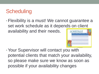## **Scheduling**

•Flexibility is a must! We cannot guarantee a set work schedule as it depends on client availability and their needs. **SCHEDULE** 



• Your Supervisor will contact you with potential clients that match your availability, so please make sure we know as soon as possible if your availability changes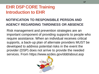#### **NOTIFICATION TO RESPONSIBLE PERSON AND AGENCY REGARDING TARDINESS OR ABSENCE**

Risk management and prevention strategies are an important component of providing supports to people who require assistance. When an individual receives critical supports, a back-up plan of alternate providers MUST be developed to address potential risks in the event the provider (DSP) does not arrive to provide the needed services. From https://www.azdes.gov/ddd/about.asp

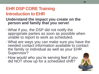#### **Understand the impact you create on the person and family that you serve!**

- What if you, the DSP did not notify the appropriate parties as soon as possible when unable to report to work as scheduled.
- What are ways you can make sure you have the needed contact information available to contact the family or individual as well as your EHR Supervisor?
- How would who you're serving feel if you did NOT show up for a scheduled shift?

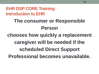## **The consumer or Responsible Person**

## **chooses how quickly a replacement caregiver will be needed if the scheduled Direct Support Professional becomes unavailable.**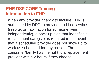When any provider agency to include EHR is authorized by DDD to provide a critical service (respite, or habilitation for someone living independently), a back-up plan that identifies a replacement caregiver is required in the event that a scheduled provider does not show up to work as scheduled for any reason. The consumer/family has the right to a replacement provider within 2 hours if they choose.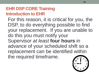For this reason, it is critical for you, the DSP, to do everything possible to find your replacement. If you are unable to do this you must notify your Supervisor *at least* **four hours** in advance of your scheduled shift so a replacement can be identified within the required timeframe.

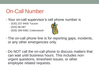## On-Call Number

- Your on-call supervisor's cell phone number is
	- (520) 237-9455 Tucson
	- (520) 08-087
	- (928) 399-9381 Cottonwood



- The on-call phone line is for reporting gaps, incidents, or any other emergencies only.
- Do NOT call the on-call phone to discuss matters that can wait until business hours. This includes nonurgent questions, timesheet issues, or other employee related requests.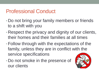## Professional Conduct

- Do not bring your family members or friends to a shift with you
- Respect the privacy and dignity of our clients, their homes and their families at all times
- •Follow through with the expectations of the family, unless they are in conflict with the service specifications
- Do not smoke in the presence of our clients

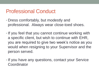## Professional Conduct

- Dress comfortably, but modestly and professional. Always wear close-toed shoes.
- If you feel that you cannot continue working with a specific client, but wish to continue with EHR, you are required to give two week's notice as you would when resigning to your Supervisor and the person served.
- If you have any questions, contact your Service Coordinator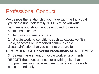## Professional Conduct

- We believe the relationship you have with the Individual you serve and their family NEEDS to be win-win!
- That means you should not be exposed to unsafe conditions such as:
	- 1. Dangerous animals or pets
	- 2. Unsafe working conditions such as excessive filth, mold, asbestos or unreported communicable disease/infection that you can not prepare for

#### **REMEMBER USE Universal Precautions AT ALL TIMES!**

3. Sexual harassment or hostile work environments REPORT these occurrences or anything else that compromises your personal health, safety and/or wellbeing immediately!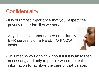## **Confidentiality**

- It is of utmost importance that you respect the privacy of the families we serve
- Any discussion about a person or family EHR serves is on a NEED TO KNOW basis.



• This means you only talk about it if it is absolutely necessary, and only to people who require the information to facilitate the care of that person.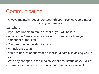## **Communication**

Always maintain regular contact with your Service Coordinator and your families

Call when:

- If you are unable to make a shift or you will be late
- A consumer/family asks you to work more hours than your timesheet authorizes
- You need guidance about anything
- An incident occurs
- You are unsure about what an individual/family is asking you to do
- With any changes in the medical/emotional status of your client
- There is a change in your contact information or availability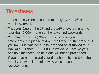- Timesheets will be disbursed monthly by the 25<sup>th</sup> of the month via email.
- They are Due on the 1<sup>st</sup> and the 16<sup>th</sup> of every month no later than 5:00pm (even on holidays and weekends!)
- You may fax to (888) 959-1007 or bring in your timesheets, but please text or email to verify their receipt if you fax. Originals need to be dropped off or mailed to PO Box 4471, Bisbee, AZ 85603. If we do not receive your original timesheet, the next one will not be proceeded.
- $\cdot$  If you have not received your timesheets by the  $5<sup>th</sup>$  of the month, notify us immediately so we can send replacements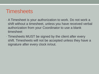- A Timesheet is your authorization to work. Do not work a shift without a timesheet, unless you have received verbal authorization from your Coordinator to use a blank timesheet
- Timesheets MUST be signed by the client after every shift. Timesheets will not be accepted unless they have a signature after every clock in/out.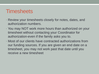- Review your timesheets closely for notes, dates, and authorization numbers.
- You may NOT work more hours than authorized on your timesheet without contacting your Coordinator for authorization-even if the family asks you to.
- Most of our clients have contracted authorizations from our funding sources. If you are given an end date on a timesheet, you may not work past that date until you receive a new timesheet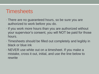- There are no guaranteed hours, so be sure you are authorized to work before you do.
- If you work more hours than you are authorized without your supervisor's consent, you will NOT be paid for those hours.
- Timesheets should be filled out completely and legibly in black or blue ink
- NEVER use white out on a timesheet. If you make a mistake, cross it out, initial, and use the line below to rewrite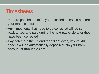- You are paid based off of your clocked times, so be sure your math is accurate
- Any timesheets that need to be corrected will be sent back to you and paid during the next pay cycle after they have been corrected
- Pay dates are the 5<sup>th</sup> and the 20<sup>th</sup> of every month. All checks will be automatically deposited into your bank account or through a card.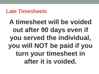## **Late Timesheets**

**A timesheet will be voided out after 90 days even if you served the individual, you will NOT be paid if you turn your timesheet in after it is voided.**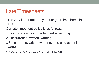## Late Timesheets

• It is very important that you turn your timesheets in on time

Our late timesheet policy is as follows:

1<sup>st</sup> occurrence: documented verbal warning

2<sup>nd</sup> occurrence: written warning

3<sup>rd</sup> occurrence: written warning, time paid at minimum wage

4<sup>th</sup> occurrence is cause for termination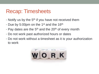## Recap: Timesheets

- Notify us by the  $5<sup>th</sup>$  if you have not received them
- Due by 5:00pm on the 1<sup>st</sup> and the 16<sup>th</sup>
- $\cdot$  Pay dates are the 5<sup>th</sup> and the 20<sup>th</sup> of every month
- Do not work past authorized hours or dates
- Do not work without a timesheet as it is your authorization to work

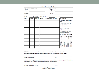| <b>Staff Member:</b><br>Individual Receiving Services:<br>Name:<br>Name:<br>Address:<br>Address:<br>Guardian<br>Phone:<br>Respite / Habilitation<br><b>Authorized Hours:</b><br>Pay Period:<br>Service:<br>Time In<br><b>Time Out</b><br>Guardian/Parent Signature<br>Date<br><b>Hours</b><br><b>INSTRUCTIONS:</b><br>* Complete one row each time you<br>work.<br>* Parent / Guardian should sign<br>each day served.<br>* Timesheets are due the 1st or<br>16th of each month.<br>* All times should be in 24-hour<br>(military) time.<br>* Double-check all math before<br>turning in this timesheet.<br><b>MILITARY TIME CONVERSION</b><br>12:00a -> 0000   12:00p -> 1200<br>1:00a -> 0100   1:00p -> 1300<br>2:00a -> 0200   2:00p -> 1400<br>$3:00a \rightarrow 0300$   $3:00p \rightarrow 1500$<br>4:00a -> 0400   4:00p -> 1600<br>$5:00a \rightarrow 0500$   $5:00p \rightarrow 1700$<br>6:00a -> 0600   6:00p -> 1800<br>7:00a -> 0700   7:00p -> 1900<br>8:00a -> 0800   8:00p -> 2000<br>9:00a -> 0900   9:00p -> 2100<br>10:00a -> 1000   10:00p -> 2200<br>11:00a -> 1100   11:00p -> 2300 |  |  | <b>Echoing Hope Ranch Timesheet</b> |  |
|-----------------------------------------------------------------------------------------------------------------------------------------------------------------------------------------------------------------------------------------------------------------------------------------------------------------------------------------------------------------------------------------------------------------------------------------------------------------------------------------------------------------------------------------------------------------------------------------------------------------------------------------------------------------------------------------------------------------------------------------------------------------------------------------------------------------------------------------------------------------------------------------------------------------------------------------------------------------------------------------------------------------------------------------------------------------------------------------------------------|--|--|-------------------------------------|--|
|                                                                                                                                                                                                                                                                                                                                                                                                                                                                                                                                                                                                                                                                                                                                                                                                                                                                                                                                                                                                                                                                                                           |  |  |                                     |  |
|                                                                                                                                                                                                                                                                                                                                                                                                                                                                                                                                                                                                                                                                                                                                                                                                                                                                                                                                                                                                                                                                                                           |  |  |                                     |  |
|                                                                                                                                                                                                                                                                                                                                                                                                                                                                                                                                                                                                                                                                                                                                                                                                                                                                                                                                                                                                                                                                                                           |  |  |                                     |  |
|                                                                                                                                                                                                                                                                                                                                                                                                                                                                                                                                                                                                                                                                                                                                                                                                                                                                                                                                                                                                                                                                                                           |  |  |                                     |  |

PROVIDER: By signing below, I certify that I have completed the services named above. I also certify that the services I provided were in compliance with the specifications as defined by the funding source. My signature further certifies that the above entries are accurate.

PROVIDER SIGNATURE

**DATE** 

GUARDIAN/PARENT: By signing below, I certify that the hours listed above are accurate. I give my permission and approval for the Provider to submit the above hours. My signature also signifies that I have received a copy of this timesheet.

**GUARDIAN/PARENT SIGNATURE** 

**DATE** 

**Echoing Hope Ranch** PO Box 4471, Bisbee, AZ 85603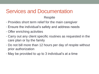### Services and Documentation **Respite**

- Provides short term relief for the main caregiver
- Ensure the individual's safety and address needs
- Offer enriching activities
- Carry out any client specific routines as requested in the care plan or by the family
- Do not bill more than 12 hours per day of respite without prior authorization
- May be provided to up to 3 individual's at a time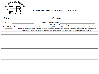

#### **PROGRESS REPORT - DDD RESPITE SERVICE**

|                                             | <b>Client: Client</b> :<br>Provider: with the contract of the contract of the contract of the contract of the contract of the contract of the contract of the contract of the contract of the contract of the contract of the contract of the contract of                                                                                                                                      |
|---------------------------------------------|------------------------------------------------------------------------------------------------------------------------------------------------------------------------------------------------------------------------------------------------------------------------------------------------------------------------------------------------------------------------------------------------|
| Mo./Yr.: $\_\_$                             |                                                                                                                                                                                                                                                                                                                                                                                                |
| <b>Record Date and</b><br><b>Time Frame</b> | <b>General Guidelines for Reporting</b><br>Give a brief narrative of activities offered during RSP hours. What was client's level of participation and overall<br>mood? Note any of the following: Unusual behaviors or comments, medical concerns, family concerns, interactions<br>with others - were they positive or negative? If SIR report was filled out, was proper protocol followed? |
|                                             |                                                                                                                                                                                                                                                                                                                                                                                                |
|                                             |                                                                                                                                                                                                                                                                                                                                                                                                |
|                                             |                                                                                                                                                                                                                                                                                                                                                                                                |
|                                             |                                                                                                                                                                                                                                                                                                                                                                                                |
|                                             |                                                                                                                                                                                                                                                                                                                                                                                                |
|                                             |                                                                                                                                                                                                                                                                                                                                                                                                |
|                                             |                                                                                                                                                                                                                                                                                                                                                                                                |
|                                             |                                                                                                                                                                                                                                                                                                                                                                                                |
|                                             |                                                                                                                                                                                                                                                                                                                                                                                                |
|                                             |                                                                                                                                                                                                                                                                                                                                                                                                |
|                                             |                                                                                                                                                                                                                                                                                                                                                                                                |
|                                             |                                                                                                                                                                                                                                                                                                                                                                                                |
|                                             |                                                                                                                                                                                                                                                                                                                                                                                                |
|                                             |                                                                                                                                                                                                                                                                                                                                                                                                |
|                                             |                                                                                                                                                                                                                                                                                                                                                                                                |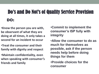## Do's and Do Not's of Quality Service Provision

Ī

#### DO:

- •**Know the person you are with, be observant of what they are doing at all times, it only takes a second for an incident to occur**
- •**Treat the consumer and their family with dignity and respect**
- •**Maintain confidentiality, even when speaking with consumer's friends and family**

•**Commit to implement the consumer's ISP fully with integrity**

•**Allow the consumer to do as much for themselves as possible, ask if the person needs help before doing things for them**

•**Provide choices for the consumer**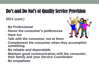## Do's and Do Not's of Quality Service Provision

**DO's (cont.)**

- **Be Professional**
- **Honor the consumer's preferences**
- **Have fun**
- **Talk with the consumer, not at them**



- **Complement the consumer when they accomplish something**
- **Be reliable and dependable**
- **Maintain good communication with the consumer, their family and your Service Coordinator**
- **Be empathetic**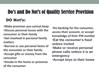## Do's and Do Not's of Quality Service Provision DO Not's:

Ī

•**Make promises you cannot keep** •**Discuss personal issues with the consumer or their family**

•**Get involved in personal family matters**

•**Borrow or use personal items of the consumer or their family**

•**Accept gifts or money from the consumer**

•**Smoke in the home or presence of the consumer**

•**Do banking for the consumer, access their account, or accept knowledge of their PIN number** •**Eat the consumer's food unless invited** •**Make or receive personal phone calls unless it is an emergency**

•**Accept keys to their home**